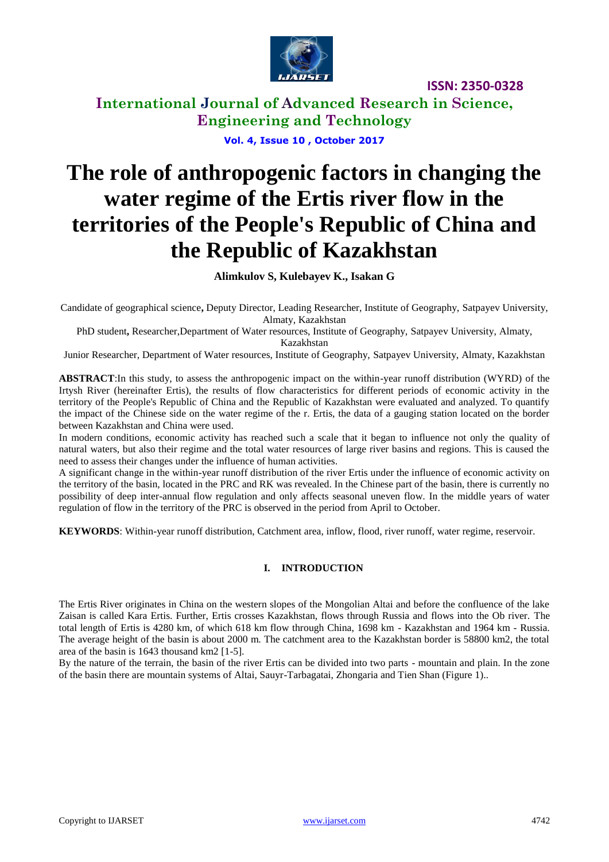

**International Journal of Advanced Research in Science, Engineering and Technology**

**Vol. 4, Issue 10 , October 2017**

# **The role of anthropogenic factors in changing the water regime of the Ertis river flow in the territories of the People's Republic of China and the Republic of Kazakhstan**

#### **Alimkulov S, Kulebayev K., Isakan G**

Candidate of geographical science**,** Deputy Director, Leading Researcher, Institute of Geography, Satpayev University, Almaty, Kazakhstan

PhD student**,** Researcher,Department of Water resources, Institute of Geography, Satpayev University, Almaty, Kazakhstan

Junior Researcher, Department of Water resources, Institute of Geography, Satpayev University, Almaty, Kazakhstan

**ABSTRACT**:In this study, to assess the anthropogenic impact on the within-year runoff distribution (WYRD) of the Irtysh River (hereinafter Ertis), the results of flow characteristics for different periods of economic activity in the territory of the People's Republic of China and the Republic of Kazakhstan were evaluated and analyzed. To quantify the impact of the Chinese side on the water regime of the r. Ertis, the data of a gauging station located on the border between Kazakhstan and China were used.

In modern conditions, economic activity has reached such a scale that it began to influence not only the quality of natural waters, but also their regime and the total water resources of large river basins and regions. This is caused the need to assess their changes under the influence of human activities.

A significant change in the within-year runoff distribution of the river Ertis under the influence of economic activity on the territory of the basin, located in the PRC and RK was revealed. In the Chinese part of the basin, there is currently no possibility of deep inter-annual flow regulation and only affects seasonal uneven flow. In the middle years of water regulation of flow in the territory of the PRC is observed in the period from April to October.

**KEYWORDS**: Within-year runoff distribution, Catchment area, inflow, flood, river runoff, water regime, reservoir.

#### **I. INTRODUCTION**

The Ertis River originates in China on the western slopes of the Mongolian Altai and before the confluence of the lake Zaisan is called Kara Ertis. Further, Ertis crosses Kazakhstan, flows through Russia and flows into the Ob river. The total length of Ertis is 4280 km, of which 618 km flow through China, 1698 km - Kazakhstan and 1964 km - Russia. The average height of the basin is about 2000 m. The catchment area to the Kazakhstan border is 58800 km2, the total area of the basin is 1643 thousand km2 [1-5].

By the nature of the terrain, the basin of the river Ertis can be divided into two parts - mountain and plain. In the zone of the basin there are mountain systems of Altai, Sauyr-Tarbagatai, Zhongaria and Tien Shan (Figure 1)..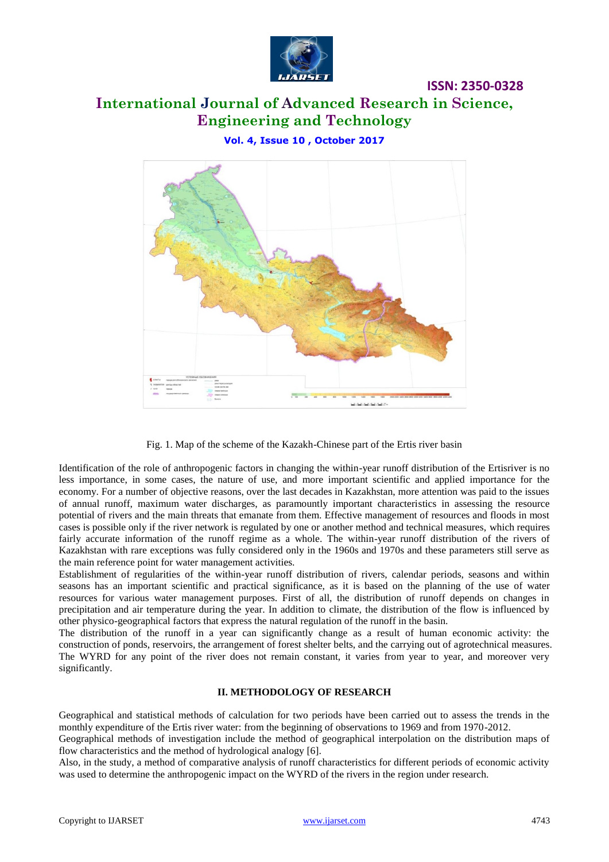

# **International Journal of Advanced Research in Science, Engineering and Technology**

**ISSN: 2350-0328**

**Vol. 4, Issue 10 , October 2017**



Fig. 1. Map of the scheme of the Kazakh-Chinese part of the Ertis river basin

Identification of the role of anthropogenic factors in changing the within-year runoff distribution of the Ertisriver is no less importance, in some cases, the nature of use, and more important scientific and applied importance for the economy. For a number of objective reasons, over the last decades in Kazakhstan, more attention was paid to the issues of annual runoff, maximum water discharges, as paramountly important characteristics in assessing the resource potential of rivers and the main threats that emanate from them. Effective management of resources and floods in most cases is possible only if the river network is regulated by one or another method and technical measures, which requires fairly accurate information of the runoff regime as a whole. The within-year runoff distribution of the rivers of Kazakhstan with rare exceptions was fully considered only in the 1960s and 1970s and these parameters still serve as the main reference point for water management activities.

Establishment of regularities of the within-year runoff distribution of rivers, calendar periods, seasons and within seasons has an important scientific and practical significance, as it is based on the planning of the use of water resources for various water management purposes. First of all, the distribution of runoff depends on changes in precipitation and air temperature during the year. In addition to climate, the distribution of the flow is influenced by other physico-geographical factors that express the natural regulation of the runoff in the basin.

The distribution of the runoff in a year can significantly change as a result of human economic activity: the construction of ponds, reservoirs, the arrangement of forest shelter belts, and the carrying out of agrotechnical measures. The WYRD for any point of the river does not remain constant, it varies from year to year, and moreover very significantly.

#### **II. METHODOLOGY OF RESEARCH**

Geographical and statistical methods of calculation for two periods have been carried out to assess the trends in the monthly expenditure of the Ertis river water: from the beginning of observations to 1969 and from 1970-2012.

Geographical methods of investigation include the method of geographical interpolation on the distribution maps of flow characteristics and the method of hydrological analogy [6].

Also, in the study, a method of comparative analysis of runoff characteristics for different periods of economic activity was used to determine the anthropogenic impact on the WYRD of the rivers in the region under research.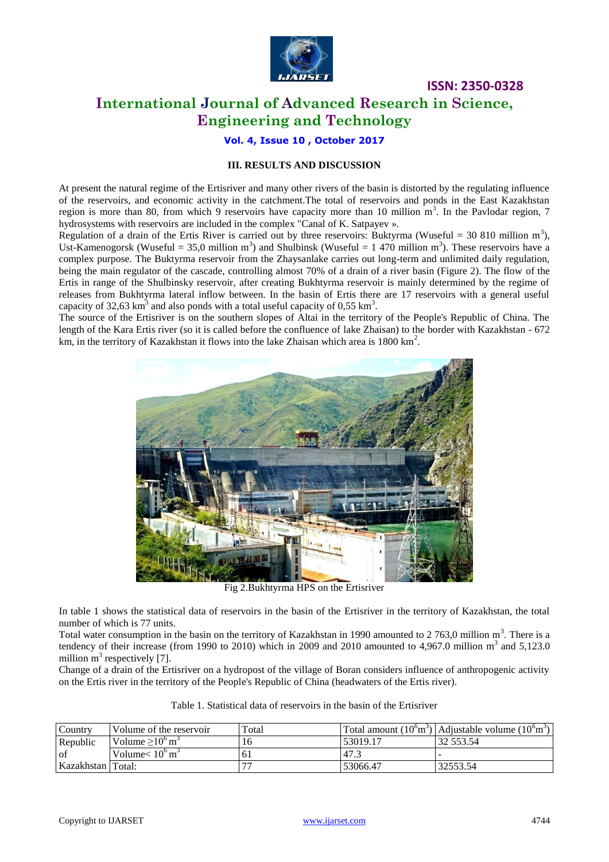

# **International Journal of Advanced Research in Science, Engineering and Technology**

**Vol. 4, Issue 10 , October 2017**

#### **III. RESULTS AND DISCUSSION**

At present the natural regime of the Ertisriver and many other rivers of the basin is distorted by the regulating influence of the reservoirs, and economic activity in the catchment.The total of reservoirs and ponds in the East Kazakhstan region is more than 80, from which 9 reservoirs have capacity more than 10 million  $m<sup>3</sup>$ . In the Pavlodar region, 7 hydrosystems with reservoirs are included in the complex "Canal of K. Satpayev ».

Regulation of a drain of the Ertis River is carried out by three reservoirs: Buktyrma (Wuseful = 30 810 million  $m^3$ ), Ust-Kamenogorsk (Wuseful = 35,0 million m<sup>3</sup>) and Shulbinsk (Wuseful = 1 470 million m<sup>3</sup>). These reservoirs have a complex purpose. The Buktyrma reservoir from the Zhaysanlake carries out long-term and unlimited daily regulation, being the main regulator of the cascade, controlling almost 70% of a drain of a river basin (Figure 2). The flow of the Ertis in range of the Shulbinsky reservoir, after creating Bukhtyrma reservoir is mainly determined by the regime of releases from Bukhtyrma lateral inflow between. In the basin of Ertis there are 17 reservoirs with a general useful capacity of 32,63 km<sup>3</sup> and also ponds with a total useful capacity of 0,55 km<sup>3</sup>.

The source of the Ertisriver is on the southern slopes of Altai in the territory of the People's Republic of China. The length of the Kara Ertis river (so it is called before the confluence of lake Zhaisan) to the border with Kazakhstan - 672 km, in the territory of Kazakhstan it flows into the lake Zhaisan which area is  $1800 \text{ km}^2$ .



Fig 2.Bukhtyrma HPS on the Ertisriver

In table 1 shows the statistical data of reservoirs in the basin of the Ertisriver in the territory of Kazakhstan, the total number of which is 77 units.

Total water consumption in the basin on the territory of Kazakhstan in 1990 amounted to 2 763,0 million  $m<sup>3</sup>$ . There is a tendency of their increase (from 1990 to 2010) which in 2009 and 2010 amounted to 4,967.0 million  $m<sup>3</sup>$  and 5,123.0 million  $m^3$  respectively [7].

Change of a drain of the Ertisriver on a hydropost of the village of Boran considers influence of anthropogenic activity on the Ertis river in the territory of the People's Republic of China (headwaters of the Ertis river).

| Table 1. Statistical data of reservoirs in the basin of the Ertisriver |  |  |  |
|------------------------------------------------------------------------|--|--|--|
|                                                                        |  |  |  |

| Country           | Volume of the reservoir             | Total          |          | Total amount $(10^{\circ}m^3)$ Adjustable volume $(10^{\circ}m^3)$ |
|-------------------|-------------------------------------|----------------|----------|--------------------------------------------------------------------|
| Republic          | Volume $>10^{\circ}$ m <sup>3</sup> | 16             | 53019.17 | 32 553.54                                                          |
| l of              | Volume $< 10^6$ m <sup>3</sup>      | 6 <sub>1</sub> | 47.      |                                                                    |
| Kazakhstan Total: |                                     |                | 53066.47 | 32553.54                                                           |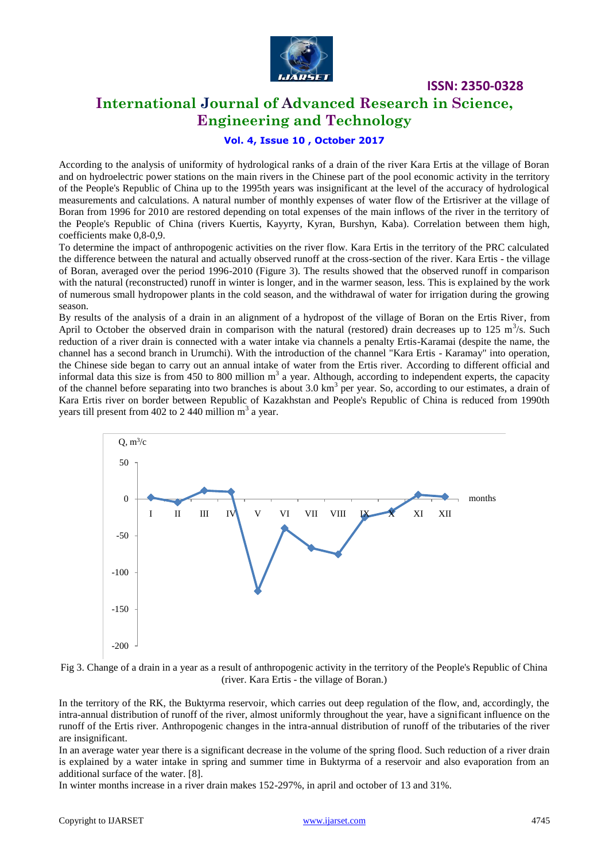

### **International Journal of Advanced Research in Science, Engineering and Technology**

#### **Vol. 4, Issue 10 , October 2017**

According to the analysis of uniformity of hydrological ranks of a drain of the river Kara Ertis at the village of Boran and on hydroelectric power stations on the main rivers in the Chinese part of the pool economic activity in the territory of the People's Republic of China up to the 1995th years was insignificant at the level of the accuracy of hydrological measurements and calculations. A natural number of monthly expenses of water flow of the Ertisriver at the village of Boran from 1996 for 2010 are restored depending on total expenses of the main inflows of the river in the territory of the People's Republic of China (rivers Kuertis, Kayyrty, Kyran, Burshyn, Kaba). Correlation between them high, coefficients make 0,8-0,9.

To determine the impact of anthropogenic activities on the river flow. Kara Ertis in the territory of the PRC calculated the difference between the natural and actually observed runoff at the cross-section of the river. Kara Ertis - the village of Boran, averaged over the period 1996-2010 (Figure 3). The results showed that the observed runoff in comparison with the natural (reconstructed) runoff in winter is longer, and in the warmer season, less. This is explained by the work of numerous small hydropower plants in the cold season, and the withdrawal of water for irrigation during the growing season.

By results of the analysis of a drain in an alignment of a hydropost of the village of Boran on the Ertis River, from April to October the observed drain in comparison with the natural (restored) drain decreases up to 125 m<sup>3</sup>/s. Such reduction of a river drain is connected with a water intake via channels a penalty Ertis-Karamai (despite the name, the channel has a second branch in Urumchi). With the introduction of the channel "Kara Ertis - Karamay" into operation, the Chinese side began to carry out an annual intake of water from the Ertis river. According to different official and informal data this size is from 450 to 800 million  $m<sup>3</sup>$  a year. Although, according to independent experts, the capacity of the channel before separating into two branches is about 3.0 km<sup>3</sup> per year. So, according to our estimates, a drain of Kara Ertis river on border between Republic of Kazakhstan and People's Republic of China is reduced from 1990th years till present from 402 to 2 440 million  $m<sup>3</sup>$  a year.



Fig 3. Change of a drain in a year as a result of anthropogenic activity in the territory of the People's Republic of China (river. Kara Ertis - the village of Boran.)

In the territory of the RK, the Buktyrma reservoir, which carries out deep regulation of the flow, and, accordingly, the intra-annual distribution of runoff of the river, almost uniformly throughout the year, have a significant influence on the runoff of the Ertis river. Anthropogenic changes in the intra-annual distribution of runoff of the tributaries of the river are insignificant.

In an average water year there is a significant decrease in the volume of the spring flood. Such reduction of a river drain is explained by a water intake in spring and summer time in Buktyrma of a reservoir and also evaporation from an additional surface of the water. [8].

In winter months increase in a river drain makes 152-297%, in april and october of 13 and 31%.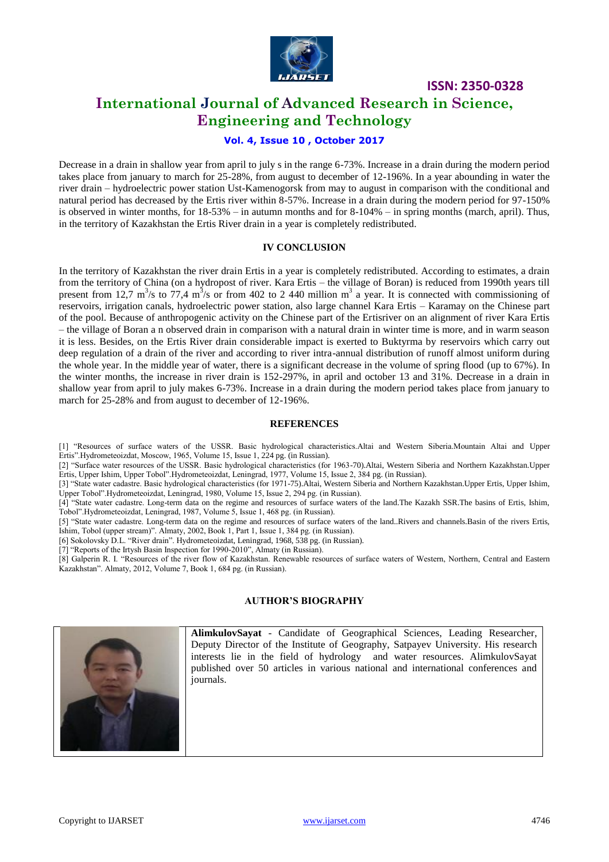

# **International Journal of Advanced Research in Science, Engineering and Technology**

#### **Vol. 4, Issue 10 , October 2017**

Decrease in a drain in shallow year from april to july s in the range 6-73%. Increase in a drain during the modern period takes place from january to march for 25-28%, from august to december of 12-196%. In a year abounding in water the river drain – hydroelectric power station Ust-Kamenogorsk from may to august in comparison with the conditional and natural period has decreased by the Ertis river within 8-57%. Increase in a drain during the modern period for 97-150% is observed in winter months, for 18-53% – in autumn months and for 8-104% – in spring months (march, april). Thus, in the territory of Kazakhstan the Ertis River drain in a year is completely redistributed.

#### **IV CONCLUSION**

In the territory of Kazakhstan the river drain Ertis in a year is completely redistributed. According to estimates, a drain from the territory of China (on a hydropost of river. Kara Ertis – the village of Boran) is reduced from 1990th years till present from 12,7 m<sup>3</sup>/s to 77,4 m<sup>3</sup>/s or from 402 to 2 440 million m<sup>3</sup> a year. It is connected with commissioning of reservoirs, irrigation canals, hydroelectric power station, also large channel Kara Ertis – Karamay on the Chinese part of the pool. Because of anthropogenic activity on the Chinese part of the Ertisriver on an alignment of river Kara Ertis – the village of Boran a n observed drain in comparison with a natural drain in winter time is more, and in warm season it is less. Besides, on the Ertis River drain considerable impact is exerted to Buktyrma by reservoirs which carry out deep regulation of a drain of the river and according to river intra-annual distribution of runoff almost uniform during the whole year. In the middle year of water, there is a significant decrease in the volume of spring flood (up to 67%). In the winter months, the increase in river drain is 152-297%, in april and october 13 and 31%. Decrease in a drain in shallow year from april to july makes 6-73%. Increase in a drain during the modern period takes place from january to march for 25-28% and from august to december of 12-196%.

#### **REFERENCES**

[1] "Resources of surface waters of the USSR. Basic hydrological characteristics.Altai and Western Siberia.Mountain Altai and Upper Ertis".Hydrometeoizdat, Moscow, 1965, Volume 15, Issue 1, 224 pg. (in Russian).

[2] "Surface water resources of the USSR. Basic hydrological characteristics (for 1963-70).Altai, Western Siberia and Northern Kazakhstan.Upper Ertis, Upper Ishim, Upper Tobol".Hydrometeoizdat, Leningrad, 1977, Volume 15, Issue 2, 384 pg. (in Russian).

[3] "State water cadastre. Basic hydrological characteristics (for 1971-75).Altai, Western Siberia and Northern Kazakhstan.Upper Ertis, Upper Ishim, Upper Tobol".Hydrometeoizdat, Leningrad, 1980, Volume 15, Issue 2, 294 pg. (in Russian).

[4] "State water cadastre. Long-term data on the regime and resources of surface waters of the land.The Kazakh SSR.The basins of Ertis, Ishim, Tobol".Hydrometeoizdat, Leningrad, 1987, Volume 5, Issue 1, 468 pg. (in Russian).

[5] "State water cadastre. Long-term data on the regime and resources of surface waters of the land..Rivers and channels.Basin of the rivers Ertis, Ishim, Tobol (upper stream)". Almaty, 2002, Book 1, Part 1, Issue 1, 384 pg. (in Russian).

[6] Sokolovsky D.L. "River drain". Hydrometeoizdat, Leningrad, 1968, 538 pg. (in Russian).

[7] "Reports of the Irtysh Basin Inspection for 1990-2010", Almaty (in Russian).

[8] Galperin R. I. "Resources of the river flow of Kazakhstan. Renewable resources of surface waters of Western, Northern, Central and Eastern Kazakhstan". Almaty, 2012, Volume 7, Book 1, 684 pg. (in Russian).

#### **AUTHOR'S BIOGRAPHY**



**AlimkulovSayat** - Candidate of Geographical Sciences, Leading Researcher, Deputy Director of the Institute of Geography, Satpayev University. His research interests lie in the field of hydrology and water resources. AlimkulovSayat published over 50 articles in various national and international conferences and journals.